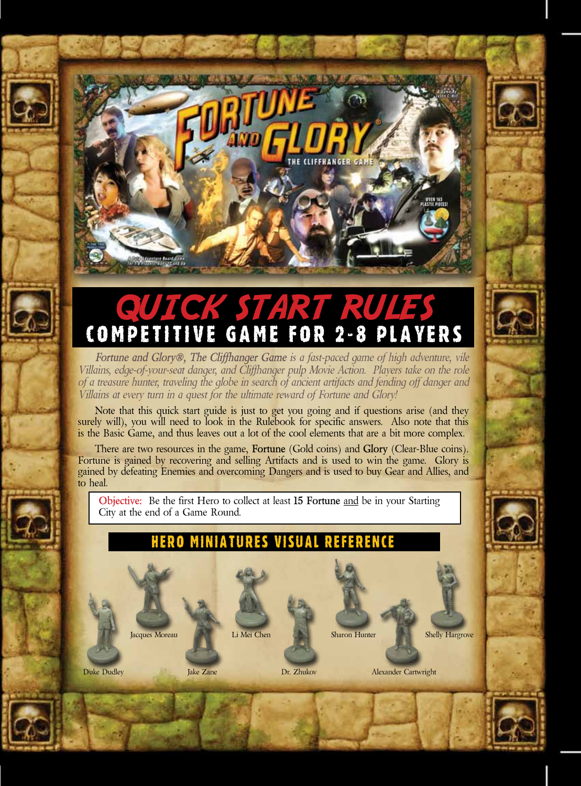# QUICK START RULE Competitive Game for 2-8 Players

*Fortune and Glory®, The Cliffhanger Game is a fast-paced game of high adventure, vile Villains, edge-of-your-seat danger, and Cliffhanger pulp Movie Action. Players take on the role of a treasure hunter, traveling the globe in search of ancient artifacts and fending off danger and Villains at every turn in a quest for the ultimate reward of Fortune and Glory!*

Note that this quick start guide is just to get you going and if questions arise (and they surely will), you will need to look in the Rulebook for specific answers. Also note that this is the Basic Game, and thus leaves out a lot of the cool elements that are a bit more complex.

There are two resources in the game, **Fortune** (Gold coins) and **Glory** (Clear-Blue coins). Fortune is gained by recovering and selling Artifacts and is used to win the game. Glory is gained by defeating Enemies and overcoming Dangers and is used to buy Gear and Allies, and to heal.

**Objective:** Be the first Hero to collect at least **15 Fortune** and be in your Starting City at the end of a Game Round.

# Hero Miniatures Visual Reference



Li Mei Chen





**Duke Dudley Same Alexander Cartwright Cartwright Cartwright Cartwright Cartwright Cartwright Cartwright Cartwright Cartwright Cartwright Cartwright Cartwright Cartwright Cartwright Cartwright Cartwright Cartwright Cartwri** 

Sharon Hunter Shelly Hargrove



Jake Zane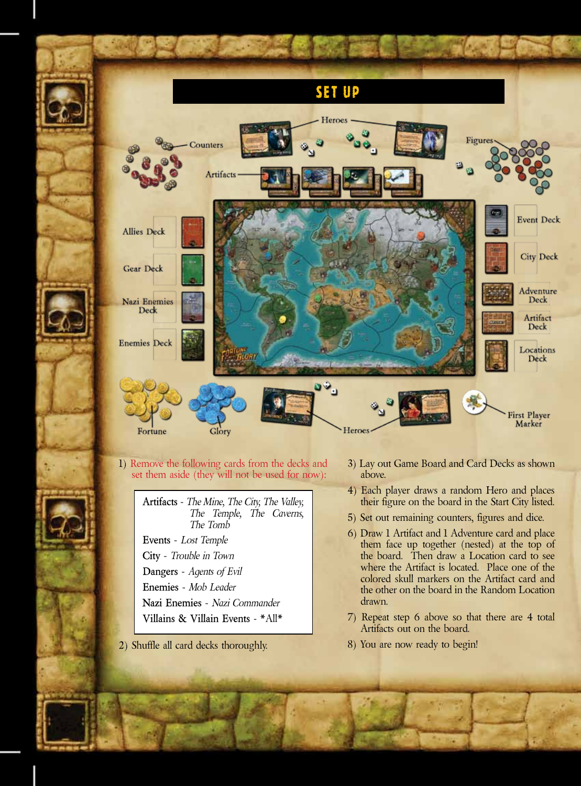

1) Remove the following cards from the decks and set them aside (they will not be used for now):

> **Artifacts** - *The Mine, The City, The Valley, The Temple, The Caverns, The Tomb*

**Events** - *Lost Temple*

**City** - *Trouble in Town*

**Dangers** - *Agents of Evil*

**Enemies** - *Mob Leader*

**Nazi Enemies** - *Nazi Commander*

**Villains & Villain Events** - \*All\*

2) Shuffle all card decks thoroughly.

- 3) Lay out Game Board and Card Decks as shown above.
- 4) Each player draws a random Hero and places their figure on the board in the Start City listed.
- 5) Set out remaining counters, figures and dice.
- 6) Draw 1 Artifact and 1 Adventure card and place them face up together (nested) at the top of the board. Then draw a Location card to see where the Artifact is located. Place one of the colored skull markers on the Artifact card and the other on the board in the Random Location drawn.
- 7) Repeat step 6 above so that there are 4 total Artifacts out on the board.
- 8) You are now ready to begin!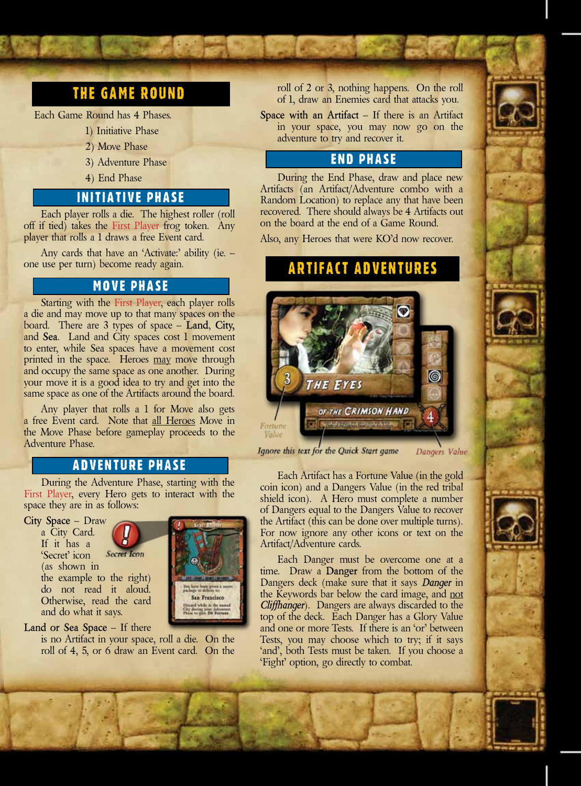# The Game Round

Each Game Round has 4 Phases.

- 1) Initiative Phase
- 2) Move Phase
- 3) Adventure Phase
- 4) End Phase

## Initiative Phase

Each player rolls a die. The highest roller (roll off if tied) takes the First Player frog token. Any player that rolls a 1 draws a free Event card.

Any cards that have an 'Activate:' ability (ie. one use per turn) become ready again.

### Move Phase

Starting with the First Player, each player rolls a die and may move up to that many spaces on the board. There are 3 types of space – **Land**, **City,**  and **Sea**. Land and City spaces cost 1 movement to enter, while Sea spaces have a movement cost printed in the space. Heroes may move through and occupy the same space as one another. During your move it is a good idea to try and get into the same space as one of the Artifacts around the board.

Any player that rolls a 1 for Move also gets a free Event card. Note that all Heroes Move in the Move Phase before gameplay proceeds to the Adventure Phase.

#### Adventure Phase

During the Adventure Phase, starting with the First Player, every Hero gets to interact with the space they are in as follows:

**City Space** – Draw a City Card. If it has a **Secret Icon** 'Secret' icon (as shown in the example to the right) do not read it aloud. Otherwise, read the card and do what it says.



#### **Land or Sea Space** – If there

is no Artifact in your space, roll a die. On the roll of 4, 5, or 6 draw an Event card. On the roll of 2 or 3, nothing happens. On the roll of 1, draw an Enemies card that attacks you.

**Space with an Artifact** – If there is an Artifact in your space, you may now go on the adventure to try and recover it.

#### End Phase

During the End Phase, draw and place new Artifacts (an Artifact/Adventure combo with a Random Location) to replace any that have been recovered. There should always be 4 Artifacts out on the board at the end of a Game Round.

Also, any Heroes that were KO'd now recover.

# Artifact Adventures



Ignore this text for the Quick Start game Dangers Value

Each Artifact has a Fortune Value (in the gold coin icon) and a Dangers Value (in the red tribal shield icon). A Hero must complete a number of Dangers equal to the Dangers Value to recover the Artifact (this can be done over multiple turns). For now ignore any other icons or text on the Artifact/Adventure cards.

Each Danger must be overcome one at a time. Draw a **Danger** from the bottom of the Dangers deck (make sure that it says *Danger* in the Keywords bar below the card image, and not *Cliffhanger*). Dangers are always discarded to the top of the deck. Each Danger has a Glory Value and one or more Tests. If there is an 'or' between Tests, you may choose which to try; if it says 'and', both Tests must be taken. If you choose a 'Fight' option, go directly to combat.